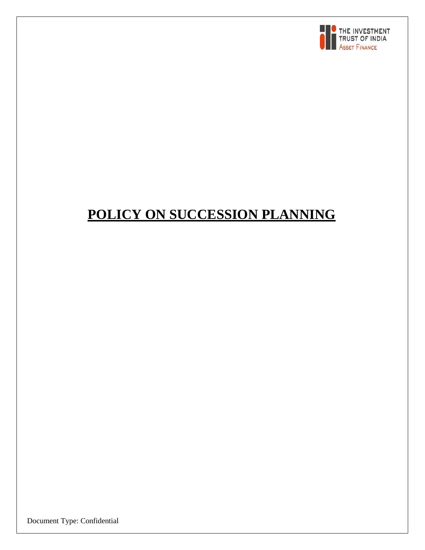

# **POLICY ON SUCCESSION PLANNING**

Document Type: Confidential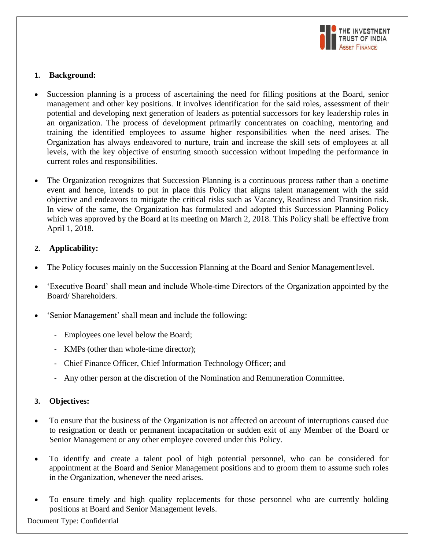

## **1. Background:**

- Succession planning is a process of ascertaining the need for filling positions at the Board, senior management and other key positions. It involves identification for the said roles, assessment of their potential and developing next generation of leaders as potential successors for key leadership roles in an organization. The process of development primarily concentrates on coaching, mentoring and training the identified employees to assume higher responsibilities when the need arises. The Organization has always endeavored to nurture, train and increase the skill sets of employees at all levels, with the key objective of ensuring smooth succession without impeding the performance in current roles and responsibilities.
- The Organization recognizes that Succession Planning is a continuous process rather than a onetime event and hence, intends to put in place this Policy that aligns talent management with the said objective and endeavors to mitigate the critical risks such as Vacancy, Readiness and Transition risk. In view of the same, the Organization has formulated and adopted this Succession Planning Policy which was approved by the Board at its meeting on March 2, 2018. This Policy shall be effective from April 1, 2018.

# **2. Applicability:**

- The Policy focuses mainly on the Succession Planning at the Board and Senior Managementlevel.
- 'Executive Board' shall mean and include Whole-time Directors of the Organization appointed by the Board/ Shareholders.
- 'Senior Management' shall mean and include the following:
	- Employees one level below the Board;
	- KMPs (other than whole-time director);
	- Chief Finance Officer, Chief Information Technology Officer; and
	- Any other person at the discretion of the Nomination and Remuneration Committee.

# **3. Objectives:**

- To ensure that the business of the Organization is not affected on account of interruptions caused due to resignation or death or permanent incapacitation or sudden exit of any Member of the Board or Senior Management or any other employee covered under this Policy.
- To identify and create a talent pool of high potential personnel, who can be considered for appointment at the Board and Senior Management positions and to groom them to assume such roles in the Organization, whenever the need arises.
- To ensure timely and high quality replacements for those personnel who are currently holding positions at Board and Senior Management levels.

Document Type: Confidential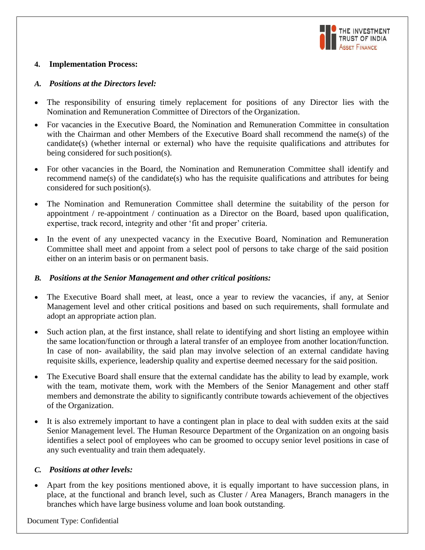

#### **4. Implementation Process:**

#### *A. Positions at the Directors level:*

- The responsibility of ensuring timely replacement for positions of any Director lies with the Nomination and Remuneration Committee of Directors of the Organization.
- For vacancies in the Executive Board, the Nomination and Remuneration Committee in consultation with the Chairman and other Members of the Executive Board shall recommend the name(s) of the candidate(s) (whether internal or external) who have the requisite qualifications and attributes for being considered for such position(s).
- For other vacancies in the Board, the Nomination and Remuneration Committee shall identify and recommend name(s) of the candidate(s) who has the requisite qualifications and attributes for being considered for such position(s).
- The Nomination and Remuneration Committee shall determine the suitability of the person for appointment / re-appointment / continuation as a Director on the Board, based upon qualification, expertise, track record, integrity and other 'fit and proper' criteria.
- In the event of any unexpected vacancy in the Executive Board, Nomination and Remuneration Committee shall meet and appoint from a select pool of persons to take charge of the said position either on an interim basis or on permanent basis.

## *B. Positions at the Senior Management and other critical positions:*

- The Executive Board shall meet, at least, once a year to review the vacancies, if any, at Senior Management level and other critical positions and based on such requirements, shall formulate and adopt an appropriate action plan.
- Such action plan, at the first instance, shall relate to identifying and short listing an employee within the same location/function or through a lateral transfer of an employee from another location/function. In case of non- availability, the said plan may involve selection of an external candidate having requisite skills, experience, leadership quality and expertise deemed necessary for the said position.
- The Executive Board shall ensure that the external candidate has the ability to lead by example, work with the team, motivate them, work with the Members of the Senior Management and other staff members and demonstrate the ability to significantly contribute towards achievement of the objectives of the Organization.
- It is also extremely important to have a contingent plan in place to deal with sudden exits at the said Senior Management level. The Human Resource Department of the Organization on an ongoing basis identifies a select pool of employees who can be groomed to occupy senior level positions in case of any such eventuality and train them adequately.

## *C. Positions at other levels:*

 Apart from the key positions mentioned above, it is equally important to have succession plans, in place, at the functional and branch level, such as Cluster / Area Managers, Branch managers in the branches which have large business volume and loan book outstanding.

Document Type: Confidential